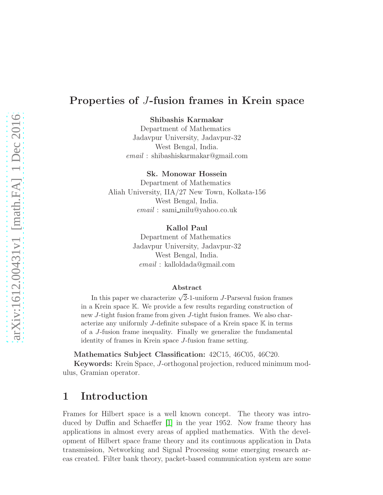# Properties of J-fusion frames in Krein space

Shibashis Karmakar

Department of Mathematics Jadavpur University, Jadavpur-32 West Bengal, India. email : shibashiskarmakar@gmail.com

Sk. Monowar Hossein

Department of Mathematics Aliah University, IIA/27 New Town, Kolkata-156 West Bengal, India.  $email$ : sami\_milu@yahoo.co.uk

> Kallol Paul Department of Mathematics Jadavpur University, Jadavpur-32 West Bengal, India. email : kalloldada@gmail.com

#### Abstract

In this paper we characterize  $\sqrt{2}$ -1-uniform *J*-Parseval fusion frames in a Krein space K. We provide a few results regarding construction of new J-tight fusion frame from given J-tight fusion frames. We also characterize any uniformly J-definite subspace of a Krein space  $K$  in terms of a J-fusion frame inequality. Finally we generalize the fundamental identity of frames in Krein space J-fusion frame setting.

Mathematics Subject Classification:  $42C15, 46C05, 46C20$ . Keywords: Krein Space, J-orthogonal projection, reduced minimum modulus, Gramian operator.

## 1 Introduction

Frames for Hilbert space is a well known concept. The theory was introduced by Duffin and Schaeffer [\[1\]](#page-11-0) in the year 1952. Now frame theory has applications in almost every areas of applied mathematics. With the development of Hilbert space frame theory and its continuous application in Data transmission, Networking and Signal Processing some emerging research areas created. Filter bank theory, packet-based communication system are some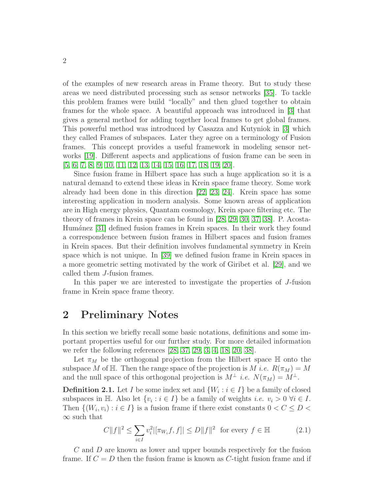of the examples of new research areas in Frame theory. But to study these areas we need distributed processing such as sensor networks [\[35\]](#page-13-0). To tackle this problem frames were build "locally" and then glued together to obtain frames for the whole space. A beautiful approach was introduced in [\[3\]](#page-11-1) that gives a general method for adding together local frames to get global frames. This powerful method was introduced by Casazza and Kutyniok in [\[3\]](#page-11-1) which they called Frames of subspaces. Later they agree on a terminology of Fusion frames. This concept provides a useful framework in modeling sensor networks [\[19\]](#page-12-0). Different aspects and applications of fusion frame can be seen in [\[5,](#page-11-2) [6,](#page-11-3) [7,](#page-11-4) [8,](#page-11-5) [9,](#page-11-6) [10,](#page-11-7) [11,](#page-11-8) [12,](#page-11-9) [13,](#page-12-1) [14,](#page-12-2) [15,](#page-12-3) [16,](#page-12-4) [17,](#page-12-5) [18,](#page-12-6) [19,](#page-12-0) [20\]](#page-12-7).

Since fusion frame in Hilbert space has such a huge application so it is a natural demand to extend these ideas in Krein space frame theory. Some work already had been done in this direction [\[22,](#page-12-8) [23,](#page-12-9) [24\]](#page-12-10). Krein space has some interesting application in modern analysis. Some known areas of application are in High energy physics, Quantam cosmology, Krein space filtering etc. The theory of frames in Krein space can be found in [\[28,](#page-13-1) [29,](#page-13-2) [30,](#page-13-3) [37,](#page-13-4) [38\]](#page-13-5). P. Acosta-Humánez [\[31\]](#page-13-6) defined fusion frames in Krein spaces. In their work they found a correspondence between fusion frames in Hilbert spaces and fusion frames in Krein spaces. But their definition involves fundamental symmetry in Krein space which is not unique. In [\[39\]](#page-14-0) we defined fusion frame in Krein spaces in a more geometric setting motivated by the work of Giribet et al. [\[29\]](#page-13-2), and we called them J-fusion frames.

In this paper we are interested to investigate the properties of J-fusion frame in Krein space frame theory.

# 2 Preliminary Notes

In this section we briefly recall some basic notations, definitions and some important properties useful for our further study. For more detailed information we refer the following references [\[28,](#page-13-1) [37,](#page-13-4) [29,](#page-13-2) [3,](#page-11-1) [4,](#page-11-10) [18,](#page-12-6) [20,](#page-12-7) [38\]](#page-13-5).

Let  $\pi_M$  be the orthogonal projection from the Hilbert space  $\mathbb H$  onto the subspace M of H. Then the range space of the projection is M i.e.  $R(\pi_M) = M$ and the null space of this orthogonal projection is  $M^{\perp}$  *i.e.*  $N(\pi_M) = M^{\perp}$ .

**Definition 2.1.** Let I be some index set and  $\{W_i : i \in I\}$  be a family of closed subspaces in H. Also let  $\{v_i : i \in I\}$  be a family of weights *i.e.*  $v_i > 0$   $\forall i \in I$ . Then  $\{(W_i, v_i) : i \in I\}$  is a fusion frame if there exist constants  $0 < C \leq D$ ∞ such that

$$
C||f||^{2} \leq \sum_{i \in I} v_{i}^{2} |[\pi_{W_{i}}f, f]| \leq D||f||^{2} \text{ for every } f \in \mathbb{H}
$$
 (2.1)

C and D are known as lower and upper bounds respectively for the fusion frame. If  $C = D$  then the fusion frame is known as C-tight fusion frame and if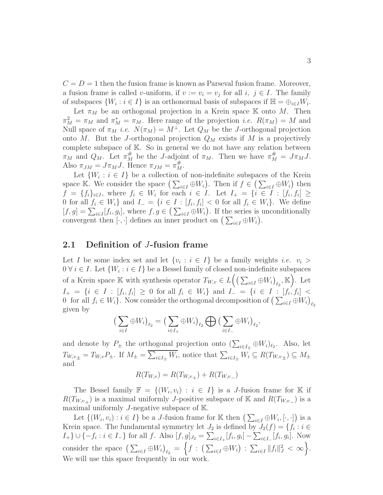$C = D = 1$  then the fusion frame is known as Parseval fusion frame. Moreover, a fusion frame is called v-uniform, if  $v := v_i = v_j$  for all  $i, j \in I$ . The family of subspaces  $\{W_i : i \in I\}$  is an orthonormal basis of subspaces if  $\mathbb{H} = \bigoplus_{i \in I} W_i$ .

Let  $\pi_M$  be an orthogonal projection in a Krein space K onto M. Then  $\pi_M^2 = \pi_M$  and  $\pi_M^* = \pi_M$ . Here range of the projection *i.e.*  $R(\pi_M) = M$  and Null space of  $\pi_M$  *i.e.*  $N(\pi_M) = M^{\perp}$ . Let  $Q_M$  be the J-orthogonal projection onto M. But the J-orthogonal projection  $Q_M$  exists if M is a projectively complete subspace of K. So in general we do not have any relation between  $\pi_M$  and  $Q_M$ . Let  $\pi_M^{\#}$  be the *J*-adjoint of  $\pi_M$ . Then we have  $\pi_M^{\#} = J \pi_M J$ . Also  $\pi_{JM} = J\pi_M J$ . Hence  $\pi_{JM} = \pi_M^{\#}$ .

Let  $\{W_i : i \in I\}$  be a collection of non-indefinite subspaces of the Krein space K. We consider the space  $\left(\sum_{i\in I} \oplus W_i\right)$ . Then if  $f \in \left(\sum_{i\in I} \oplus W_i\right)$  then  $f = \{f_i\}_{i \in I}$ , where  $f_i \in W_i$  for each  $i \in I$ . Let  $I_+ = \{i \in I : [f_i, f_i] \geq 0\}$ 0 for all  $f_i \in W_i$  and  $I_{-} = \{i \in I : [f_i, f_i] < 0$  for all  $f_i \in W_i\}$ . We define  $[f,g] = \sum_{i \in I} [f_i, g_i],$  where  $f, g \in (\sum_{i \in I} \oplus W_i)$ . If the series is unconditionally convergent then  $[\cdot, \cdot]$  defines an inner product on  $(\sum_{i \in I} \oplus W_i)$ .

#### 2.1 Definition of J-fusion frame

Let I be some index set and let  $\{v_i : i \in I\}$  be a family weights *i.e.*  $v_i >$  $0 \forall i \in I$ . Let  $\{W_i : i \in I\}$  be a Bessel family of closed non-indefinite subspaces of a Krein space K with synthesis operator  $T_{W,v} \in L\left(\left(\sum_{i\in I} \oplus W_i\right)_{\ell_2}, \mathbb{K}\right)$ . Let  $I_+ = \{i \in I : [f_i, f_i] \geq 0 \text{ for all } f_i \in W_i \}$  and  $I_- = \{i \in I : [f_i, f_i] \leq 0 \}$ 0 for all  $f_i \in W_i$ . Now consider the orthogonal decomposition of  $\left(\sum_{i \in I} \oplus W_i\right)_{\ell_2}$ given by

$$
\big(\sum_{i\in I}\oplus W_i\big)_{\ell_2}=\big(\sum_{i\in I_+}\oplus W_i\big)_{\ell_2}\bigoplus\big(\sum_{i\in I_-}\oplus W_i\big)_{\ell_2},
$$

and denote by  $P_{\pm}$  the orthogonal projection onto  $(\sum_{i\in I_{\pm}} \oplus W_i)_{\ell_2}$ . Also, let  $T_{W,v_{\pm}} = T_{W,v}P_{\pm}$ . If  $M_{\pm} = \sum_{i \in I_{\pm}} W_i$ , notice that  $\sum_{i \in I_{\pm}} W_i \subseteq R(T_{W,v_{\pm}}) \subseteq M_{\pm}$ and

$$
R(T_{W,v}) = R(T_{W,v_+}) + R(T_{W,v_-})
$$

The Bessel family  $\mathbb{F} = \{(W_i, v_i) : i \in I\}$  is a *J*-fusion frame for K if  $R(T_{W,v_+})$  is a maximal uniformly J-positive subspace of K and  $R(T_{W,v_-})$  is a maximal uniformly J-negative subspace of  $K$ .

Let  $\{(W_i, v_i) : i \in I\}$  be a *J*-fusion frame for K then  $\left(\sum_{i \in I} \oplus W_i, [\cdot, \cdot]\right)$  is a Krein space. The fundamental symmetry let  $J_2$  is defined by  $J_2(f) = \{f_i : i \in$  $I_+$ }  $\cup$  {-f<sub>i</sub>:  $i \in I_-\}$  for all f. Also  $[f, g]_{J_2} = \sum_{i \in I_+} [f_i, g_i] - \sum_{i \in I_-} [f_i, g_i]$ . Now consider the space  $\left(\sum_{i\in I} \oplus W_i\right)_{\ell_2} = \left\{f : \left(\sum_{i\in I} \oplus W_i\right) : \sum_{i\in I} ||f_i||_J^2 < \infty\right\}$ . We will use this space frequently in our work.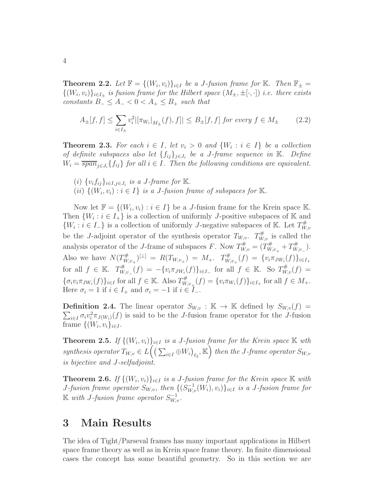**Theorem 2.2.** Let  $\mathbb{F} = \{(W_i, v_i)\}_{i \in I}$  be a J-fusion frame for  $\mathbb{K}$ . Then  $\mathbb{F}_\pm$  $\{(W_i, v_i)\}_{i \in I_{\pm}}$  is fusion frame for the Hilbert space  $(M_{\pm}, \pm [\cdot, \cdot])$  i.e. there exists constants  $B_-\leq A_-<0< A_+\leq B_+$  such that

<span id="page-3-0"></span>
$$
A_{\pm}[f,f] \le \sum_{i \in I_{\pm}} v_i^2 |[\pi_{W_i}|_{M_{\pm}}(f),f]| \le B_{\pm}[f,f] \text{ for every } f \in M_{\pm}
$$
 (2.2)

**Theorem 2.3.** For each  $i \in I$ , let  $v_i > 0$  and  $\{W_i : i \in I\}$  be a collection of definite subspaces also let  $\{f_{ij}\}_{j\in J_i}$  be a J-frame sequence in K. Define  $W_i = \overline{span}_{j \in J_i} \{f_{ij}\}$  for all  $i \in I$ . Then the following conditions are equivalent.

(i)  $\{v_i f_{ij}\}_{i \in I, j \in J_i}$  is a J-frame for K. (ii)  $\{(W_i, v_i) : i \in I\}$  is a J-fusion frame of subspaces for K.

Now let  $\mathbb{F} = \{(W_i, v_i) : i \in I\}$  be a *J*-fusion frame for the Krein space K. Then  $\{W_i : i \in I_+\}$  is a collection of uniformly J-positive subspaces of K and  $\{W_i : i \in I_-\}$  is a collection of uniformly J-negative subspaces of K. Let  $T_W^{\#}$ W,v be the J-adjoint operator of the synthesis operator  $T_{W,v}$ .  $T_{W,v}^{\#}$  is called the analysis operator of the J-frame of subspaces F. Now  $T_{W,v}^{\#} = (T_W^{\#})$  $W_{W,v_{+}}^{\#}+T_{W}^{\#}$  $W_{W,v}^{\#}$ . Also we have  $N(T_W^{\#})$  $(W_{W,v_+})^{[\perp]} = R(T_{W,v_+}) = M_+$ .  $T_W^{\#}$  $W_{W,v_+}^{\#}(f) = \{v_i \pi_{JW_i}(f)\}_{i \in I_+}$ for all  $f \in \mathbb{K}$ .  $T_{W}^{\#}$ <sup>+#</sup>,v<sub>-</sub>(f) = −{v<sub>i</sub>π<sub>JW<sub>i</sub></sub>(f)}<sub>i∈I</sub>\_ for all f ∈ K. So  $T^{\#}_{W,v}(f)$  =  $\{\sigma_i v_i \pi_{JW_i}(f)\}_{i \in I}$  for all  $f \in \mathbb{K}$ . Also  $T_W^{\#}$  $W_{W,v_{+}}^{\#}(f) = \{v_i \pi_{W_i}(f)\}_{i \in I_+}$  for all  $f \in M_+$ . Here  $\sigma_i = 1$  if  $i \in I_+$  and  $\sigma_i = -1$  if  $i \in I_-$ .

**Definition 2.4.** The linear operator  $S_{W,v} : \mathbb{K} \to \mathbb{K}$  defined by  $S_{W,v}(f) =$  $\sum_{i\in I} \sigma_i v_i^2 \pi_{J(W_i)}(f)$  is said to be the J-fusion frame operator for the J-fusion frame  $\{(W_i, v_i\}_{i \in I}$ .

**Theorem 2.5.** If  $\{(W_i, v_i)\}_{i \in I}$  is a J-fusion frame for the Krein space  $\mathbb{K}$  wth synthesis operator  $T_{W,v} \in L\Big(\big(\sum_{i\in I}\oplus W_i\big)_{\ell_2},\mathbb{K}\Big)$  then the J-frame operator  $S_{W,v}$ is bijective and J-selfadjoint.

**Theorem 2.6.** If  $\{(W_i, v_i)\}_{i \in I}$  is a J-fusion frame for the Krein space  $\mathbb{K}$  with *J*-fusion frame operator  $S_{W,v}$ , then  $\{(S_{W,v}^{-1}(W_i), v_i)\}_{i \in I}$  is a *J*-fusion frame for  $\mathbb K$  with J-fusion frame operator  $S_{W,v}^{-1}$ .

## 3 Main Results

The idea of Tight/Parseval frames has many important applications in Hilbert space frame theory as well as in Krein space frame theory. In finite dimensional cases the concept has some beautiful geometry. So in this section we are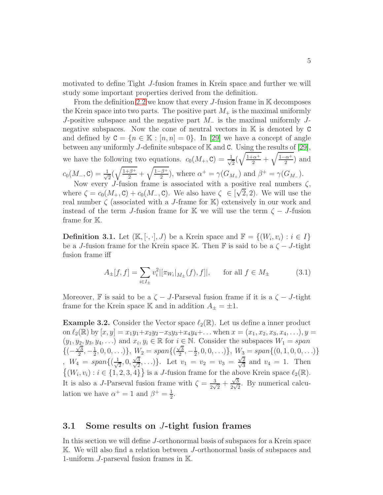motivated to define Tight J-fusion frames in Krein space and further we will study some important properties derived from the definition.

From the definition [2.2](#page-3-0) we know that every J-fusion frame in  $\mathbb K$  decomposes the Krein space into two parts. The positive part  $M_{+}$  is the maximal uniformly J-positive subspace and the negative part  $M_-\;$  is the maximal uniformly Jnegative subspaces. Now the cone of neutral vectors in  $\mathbb K$  is denoted by C and defined by  $C = \{n \in \mathbb{K} : [n, n] = 0\}$ . In [\[29\]](#page-13-2) we have a concept of angle between any uniformly J-definite subspace of  $K$  and  $C$ . Using the results of [\[29\]](#page-13-2), we have the following two equations.  $c_0(M_+, \mathbf{C}) = \frac{1}{\sqrt{2\pi}}$  $\frac{1}{2}(\sqrt{\frac{1+\alpha^{+}}{2}}+\sqrt{\frac{1-\alpha^{+}}{2}})$  and  $c_0(M_-,\mathtt{C}) = \frac{1}{\sqrt{2}}$  $\frac{1}{2}(\sqrt{\frac{1+\beta^+}{2}}+\sqrt{\frac{1-\beta^+}{2}}),$  where  $\alpha^+ = \gamma(G_{M_+})$  and  $\beta^+ = \gamma(G_{M_-}).$ 

Now every J-fusion frame is associated with a positive real numbers  $\zeta$ , where  $\zeta = c_0(M_+, \mathbf{C}) + c_0(M_-, \mathbf{C})$ . We also have  $\zeta \in [\sqrt{2}, 2)$ . We will use the real number  $\zeta$  (associated with a J-frame for  $\mathbb{K}$ ) extensively in our work and instead of the term J-fusion frame for K we will use the term  $\zeta$  – J-fusion frame for K.

**Definition 3.1.** Let  $(\mathbb{K}, [\cdot, \cdot], J)$  be a Krein space and  $\mathbb{F} = \{(W_i, v_i) : i \in I\}$ be a J-fusion frame for the Krein space K. Then F is said to be a  $\zeta - J$ -tight fusion frame iff

$$
A_{\pm}[f,f] = \sum_{i \in I_{\pm}} v_i^2 |[\pi_{W_i}|_{M_{\pm}}(f),f]|, \quad \text{for all } f \in M_{\pm}
$$
 (3.1)

Moreover, F is said to be a  $\zeta$  – J-Parseval fusion frame if it is a  $\zeta$  – J-tight frame for the Krein space K and in addition  $A_{\pm} = \pm 1$ .

**Example 3.2.** Consider the Vector space  $\ell_2(\mathbb{R})$ . Let us define a inner product on  $\ell_2(\mathbb{R})$  by  $[x, y] = x_1y_1+x_2y_2-x_3y_3+x_4y_4+\ldots$  when  $x = (x_1, x_2, x_3, x_4, \ldots), y =$  $(y_1, y_2, y_3, y_4, \ldots)$  and  $x_i, y_i \in \mathbb{R}$  for  $i \in \mathbb{N}$ . Consider the subspaces  $W_1 = span$  $\left\{ \left( -\frac{\sqrt{3}}{2} \right)$  $\frac{\sqrt{3}}{2}, -\frac{1}{2}$  $(\frac{1}{2}, 0, 0, ...)$ },  $W_2 = span\{(\frac{\sqrt{3}}{2})\}$  $\frac{\sqrt{3}}{2}, -\frac{1}{2}$  $\{\frac{1}{2}, 0, 0, \ldots\}$ ,  $W_3 = span\{(0, 1, 0, 0, \ldots)\}$ ,  $W_4 = span\{(\frac{1}{\sqrt{2}})$  $\frac{1}{2}$ , 0,  $\frac{\sqrt{}}{\sqrt{}}$  $\frac{\sqrt{3}}{\sqrt{2}}$  $\frac{3}{2}, \ldots$ }. Let  $v_1 = v_2 = v_3 = \frac{\sqrt{2}}{\sqrt{2}}$  $\frac{\sqrt{2}}{\sqrt{2}}$  $\frac{2}{3}$  and  $v_4 = 1$ . Then  $\{(W_i, v_i) : i \in \{1, 2, 3, 4\}\}\$ is a J-fusion frame for the above Krein space  $\ell_2(\mathbb{R})$ . It is also a J-Parseval fusion frame with  $\zeta = \frac{3}{2}$  $\frac{3}{2\sqrt{2}} + \frac{\sqrt{3}}{2\sqrt{2}}$  $\frac{\sqrt{3}}{2\sqrt{2}}$ . By numerical calculation we have  $\alpha^+ = 1$  and  $\beta^+ = \frac{1}{2}$  $\frac{1}{2}$ .

### 3.1 Some results on J-tight fusion frames

In this section we will define J-orthonormal basis of subspaces for a Krein space K. We will also find a relation between J-orthonormal basis of subspaces and 1-uniform J-parseval fusion frames in K.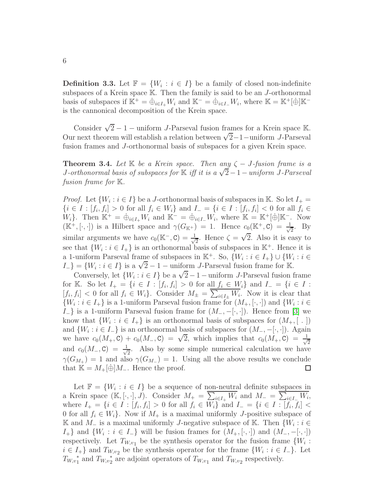**Definition 3.3.** Let  $\mathbb{F} = \{W_i : i \in I\}$  be a family of closed non-indefinite subspaces of a Krein space  $K$ . Then the family is said to be an *J*-orthonormal basis of subspaces if  $\mathbb{K}^+ = \dot{\oplus}_{i \in I_+} W_i$  and  $\mathbb{K}^- = \dot{\oplus}_{i \in I_-} W_i$ , where  $\mathbb{K} = \mathbb{K}^+[\dot{\oplus}]\mathbb{K}^$ is the cannonical decomposition of the Krein space.

Consider  $\sqrt{2} - 1$  – uniform J-Parseval fusion frames for a Krein space K. Our next theorem will establish a relation between  $\sqrt{2}-1$  –uniform J-Parseval fusion frames and J-orthonormal basis of subspaces for a given Krein space.

**Theorem 3.4.** Let  $K$  be a Krein space. Then any  $\zeta - J$ -fusion frame is a J-orthonormal basis of subspaces for K iff it is a  $\sqrt{2}-1$  – uniform J-Parseval fusion frame for  $\mathbb{K}$ .

*Proof.* Let  $\{W_i : i \in I\}$  be a J-orthonormal basis of subspaces in K. So let  $I_+$  =  ${i \in I : [f_i, f_i] > 0 \text{ for all } f_i \in W_i}$  and  $I_{-} = {i \in I : [f_i, f_i] < 0 \text{ for all } f_i \in W_i}$ W<sub>i</sub>}. Then  $\mathbb{K}^+ = \dot{\oplus}_{i \in I_+} W_i$  and  $\mathbb{K}^- = \dot{\oplus}_{i \in I_-} W_i$ , where  $\mathbb{K} = \mathbb{K}^+[\dot{\oplus}]\mathbb{K}^-$ . Now  $(\mathbb{K}^+,[\cdot,\cdot])$  is a Hilbert space and  $\gamma(G_{\mathbb{K}^+})=1$ . Hence  $c_0(\mathbb{K}^+,\mathsf{C})=\frac{1}{\sqrt{2}}$  $\frac{1}{2}$ . By similar arguments we have  $c_0(\mathbb{K}^-, \mathbb{C}) = \frac{1}{\sqrt{n}}$  $\frac{1}{2}$ . Hence  $\zeta = \sqrt{2}$ . Also it is easy to see that  $\{W_i : i \in I_+\}$  is an orthonormal basis of subspaces in  $\mathbb{K}^+$ . Hence it is a 1-uniform Parseval frame of subspaces in  $\mathbb{K}^+$ . So,  $\{W_i : i \in I_+\} \cup \{W_i : i \in I_+\}$  $I_{-}$ } = { $W_i : i \in I$ } is a  $\sqrt{2} - 1$  – uniform *J*-Parseval fusion frame for K.

Conversely, let  $\{W_i : i \in I\}$  be a  $\sqrt{2}-1$  – uniform J-Parseval fusion frame for K. So let  $I_+ = \{i \in I : [f_i, f_i] > 0 \text{ for all } f_i \in W_i\}$  and  $I_- = \{i \in I : I_i \in W_i\}$  $[f_i, f_i] < 0$  for all  $f_i \in W_i$ . Consider  $M_{\pm} = \sum_{i \in I_{\pm}} W_i$ . Now it is clear that  $\{W_i : i \in I_+\}$  is a 1-uniform Parseval fusion frame for  $(M_+, [\cdot, \cdot])$  and  $\{W_i : i \in I_+\}$  $I_-\}$  is a 1-uniform Parseval fusion frame for  $(M_-, -[\cdot, \cdot])$ . Hence from [\[3\]](#page-11-1) we know that  $\{W_i : i \in I_+\}$  is an orthonormal basis of subspaces for  $(M_+, [l])$ and  $\{W_i : i \in I_-\}$  is an orthonormal basis of subspaces for  $(M_-, -[\cdot, \cdot])$ . Again we have  $c_0(M_+, \mathbf{C}) + c_0(M_-, \mathbf{C}) = \sqrt{2}$ , which implies that  $c_0(M_+, \mathbf{C}) = \frac{1}{\sqrt{2}}$ 2 and  $c_0(M_-, \mathbf{C}) = \frac{1}{\sqrt{2}}$  $\frac{1}{2}$ . Also by some simple numerical calculation we have  $\gamma(G_{M_+}) = 1$  and also  $\gamma(G_{M_-}) = 1$ . Using all the above results we conclude that  $\mathbb{K} = M_+[\dot{\oplus}]M_-.$  Hence the proof.  $\Box$ 

Let  $\mathbb{F} = \{W_i : i \in I\}$  be a sequence of non-neutral definite subspaces in a Krein space  $(\mathbb{K}, [\cdot, \cdot], J)$ . Consider  $M_+ = \frac{\sum_{i \in I_+} W_i}{\sum_{i \in I_+} W_i}$  and  $M_- = \frac{\sum_{i \in I_-} W_i}{\sum_{i \in I_-} W_i}$ where  $I_+ = \{i \in I : [f_i, f_i] > 0 \text{ for all } f_i \in W_i\}$  and  $I_- = \{i \in I : [f_i, f_i] <$ 0 for all  $f_i \in W_i$ . Now if  $M_+$  is a maximal uniformly J-positive subspace of K and  $M_$  is a maximal uniformly J-negative subspace of K. Then  $\{W_i : i \in \mathbb{N}\}$  $I_+$ } and  $\{W_i : i \in I_-\}$  will be fusion frames for  $(M_+, [\cdot, \cdot])$  and  $(M_-, - [\cdot, \cdot])$ respectively. Let  $T_{W,v_1}$  be the synthesis operator for the fusion frame  $\{W_i:$  $i \in I_+$  and  $T_{W,v_2}$  be the synthesis operator for the frame  $\{W_i : i \in I_-\}$ . Let  $T_{W, v_1}$ <sup>\*</sup> and  $T_{W, v_2}$ <sup>\*</sup> are adjoint operators of  $T_{W, v_1}$  and  $T_{W, v_2}$  respectively.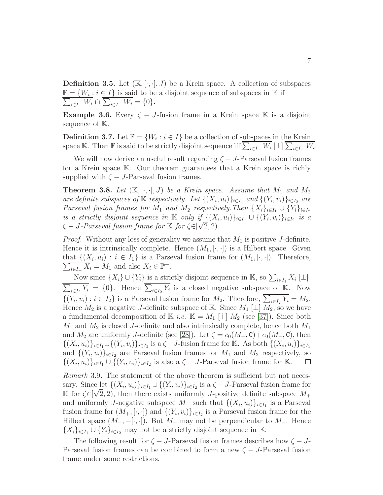**Definition 3.5.** Let  $(\mathbb{K}, \lceil \cdot, \cdot \rceil, J)$  be a Krein space. A collection of subspaces  $\mathbb{F} = \{W_i$  $\sum$ :  $i \in I$  is said to be a disjoint sequence of subspaces in K if  $_{i\in I_+} W_i \cap \sum_{i\in I_-} W_i = \{0\}.$ 

Example 3.6. Every  $\zeta$  – J-fusion frame in a Krein space K is a disjoint sequence of K.

**Definition 3.7.** Let  $\mathbb{F} = \{W_i : i \in I\}$  be a collection of subspaces in the Krein space K. Then F is said to be strictly disjoint sequence iff  $\sum_{i\in I_+} W_i$  [ $\perp$ ]  $\sum_{i\in I_-} W_i$ .

We will now derive an useful result regarding  $\zeta - J$ -Parseval fusion frames for a Krein space K. Our theorem guarantees that a Krein space is richly supplied with  $\zeta - J$ -Parseval fusion frames.

**Theorem 3.8.** Let  $(\mathbb{K}, [\cdot, \cdot], J)$  be a Krein space. Assume that  $M_1$  and  $M_2$ are definite subspaces of K respectively. Let  $\{(X_i, u_i)\}_{i \in I_1}$  and  $\{(Y_i, v_i)\}_{i \in I_2}$  are Parseval fusion frames for  $M_1$  and  $M_2$  respectively. Then  $\{X_i\}_{i\in I_1} \cup \{Y_i\}_{i\in I_2}$ is a strictly disjoint sequence in K only if  $\{(X_i, u_i)\}_{i \in I_1} \cup \{(Y_i, v_i)\}_{i \in I_2}$  is a  $\zeta$  – J-Parseval fusion frame for K for  $\zeta \in [\sqrt{2}, 2)$ .

*Proof.* Without any loss of generality we assume that  $M_1$  is positive J-definite. Hence it is intrinsically complete. Hence  $(M_1, [\cdot, \cdot])$  is a Hilbert space. Given that  $\{ (X_i, u_i) : i \in I_1 \}$  is a Parseval fusion frame for  $(M_1, [\cdot, \cdot])$ . Therefore,  $\overline{\sum_{i\in I_+} X_i} = M_1$  and also  $X_i \in \mathbb{P}^+$ .

Now since  $\{X_i\} \cup \{Y_i\}$  is a strictly disjoint sequence in K, so  $\overline{\sum_{i \in I_1} X_i}$  [ $\bot$ ]  $\sum_{i\in I_2} Y_i = \{0\}$ . Hence  $\sum_{i\in I_2} Y_i$  is a closed negative subspace of K. Now  $\{(Y_i, v_i) : i \in I_2\}$  is a Parseval fusion frame for  $M_2$ . Therefore,  $\sum_{i \in I_2} Y_i = M_2$ . Hence  $M_2$  is a negative J-definite subspace of K. Since  $M_1 \lfloor \perp \rfloor M_2$ , so we have a fundamental decomposition of K *i.e.*  $\mathbb{K} = M_1 \div M_2$  (see [\[37\]](#page-13-4)). Since both  $M_1$  and  $M_2$  is closed J-definite and also intrinsically complete, hence both  $M_1$ and  $M_2$  are uniformly J-definite (see [\[28\]](#page-13-1)). Let  $\zeta = c_0(M_+, \mathbf{C}) + c_0(M_-, \mathbf{C})$ , then  $\{(X_i, u_i)\}_{i \in I_1} \cup \{(Y_i, v_i)\}_{i \in I_2}$  is a  $\zeta - J$ -fusion frame for K. As both  $\{(X_i, u_i)\}_{i \in I_1}$ and  $\{(Y_i, v_i)\}_{i \in I_2}$  are Parseval fusion frames for  $M_1$  and  $M_2$  respectively, so  $\{(X_i, u_i)\}_{i \in I_1} \cup \{ (Y_i, v_i) \}_{i \in I_2}$  is also a  $\zeta$  – J-Parseval fusion frame for K.

Remark 3.9. The statement of the above theorem is sufficient but not necessary. Since let  $\{(X_i, u_i)\}_{i \in I_1} \cup \{(Y_i, v_i)\}_{i \in I_2}$  is a  $\zeta - J$ -Parseval fusion frame for K for  $\zeta \in [\sqrt{2}, 2)$ , then there exists uniformly *J*-positive definite subspace  $M_+$ and uniformly J-negative subspace  $M_{-}$  such that  $\{(X_i, u_i)\}_{i \in I_1}$  is a Parseval fusion frame for  $(M_+,[\cdot,\cdot])$  and  $\{(Y_i,v_i)\}_{i\in I_2}$  is a Parseval fusion frame for the Hilbert space  $(M_-, -[\cdot, \cdot])$ . But  $M_+$  may not be perpendicular to  $M_-$ . Hence  $\{X_i\}_{i\in I_1} \cup \{Y_i\}_{i\in I_2}$  may not be a strictly disjoint sequence in K.

The following result for  $\zeta - J$ -Parseval fusion frames describes how  $\zeta - J$ -Parseval fusion frames can be combined to form a new  $\zeta - J$ -Parseval fusion frame under some restrictions.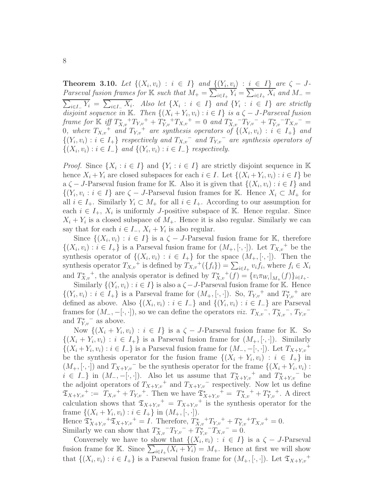**Theorem 3.10.** Let  $\{(X_i, v_i) : i \in I\}$  and  $\{(\overline{Y_i}, v_i) : i \in I\}$  are  $\zeta - J$ -Parseval fusion frames for K such that  $M_+ = \overline{\sum_{i \in I_+} Y_i} = \overline{\sum_{i \in I_+} X_i}$  and  $M_- =$  $\sum_{i\in I_{-}} Y_i = \sum_{i\in I_{-}} X_i$ . Also let  $\{X_i : i \in I\}$  and  $\{Y_i : i \in I\}$  are strictly disjoint sequence in K. Then  $\{(X_i + Y_i, v_i) : i \in I\}$  is a  $\zeta - J$ -Parseval fusion frame for  $\mathbb{K}$  iff  $T_{X,v}^*$  +  $T_{Y,v}^*$  +  $T_{Y,v}^*$  +  $T_{X,v}^*$  = 0 and  $T_{X,v}^*$  -  $T_{Y,v}$  -  $T_{Y,v}$  +  $T_{Y,v}^*$  -  $T_{X,v}$  = 0, where  $T_{X,v}$ <sup>+</sup> and  $T_{Y,v}$ <sup>+</sup> are synthesis operators of  $\{(X_i, v_i) : i \in I_+\}$  and  $\{(Y_i, v_i) : i \in I_+\}$  respectively and  $T_{X,v}$  and  $T_{Y,v}$  are synthesis operators of  $\{(X_i, v_i) : i \in I_-\}$  and  $\{(Y_i, v_i) : i \in I_-\}$  respectively.

*Proof.* Since  $\{X_i : i \in I\}$  and  $\{Y_i : i \in I\}$  are strictly disjoint sequence in K hence  $X_i + Y_i$  are closed subspaces for each  $i \in I$ . Let  $\{(X_i + Y_i, v_i) : i \in I\}$  be a  $\zeta - J$ -Parseval fusion frame for K. Also it is given that  $\{(X_i, v_i) : i \in I\}$  and  $\{(Y_i, v_i : i \in I\} \text{ are } \zeta - J\text{-Parseval fusion frames for } \mathbb{K}. \text{ Hence } X_i \subset M_+ \text{ for }$ all  $i \in I_+$ . Similarly  $Y_i \subset M_+$  for all  $i \in I_+$ . According to our assumption for each  $i \in I_+$ ,  $X_i$  is uniformly *J*-positive subspace of K. Hence regular. Since  $X_i + Y_i$  is a closed subspace of  $M_+$ . Hence it is also regular. Similarly we can say that for each  $i \in I_-, X_i + Y_i$  is also regular.

Since  $\{(X_i, v_i) : i \in I\}$  is a  $\zeta - J$ -Parseval fusion frame for K, therefore  $\{(X_i, v_i) : i \in I_+\}$  is a Parseval fusion frame for  $(M_+, [\cdot, \cdot])$ . Let  $T_{X,v}^+$  be the synthesis operator of  $\{(X_i, v_i) : i \in I_+\}$  for the space  $(M_+, [\cdot, \cdot])$ . Then the synthesis operator  $T_{X,v}$ <sup>+</sup> is defined by  $T_{X,v}$ <sup>+</sup> $(\{f_i\}) = \sum_{i \in I_+} v_i f_i$ , where  $f_i \in X_i$ and  $T^*_{X,v}$ <sup>+</sup>, the analysis operator is defined by  $T^*_{X,v}$  $^{+}(f) = \{v_i \pi_{W_i}|_{M_+}(f)\}_{i \in I_+}.$ 

Similarly  $\{(Y_i, v_i) : i \in I\}$  is also a  $\zeta - J$ -Parseval fusion frame for K. Hence  $\{(Y_i, v_i) : i \in I_+\}$  is a Parseval frame for  $(M_+, [\cdot, \cdot])$ . So,  $T_{Y,v}^+$  and  $T_{Y,v}^*$ + are defined as above. Also  $\{(X_i, v_i) : i \in I_-\}$  and  $\{(Y_i, v_i) : i \in I_-\}$  are Parseval frames for  $(M_-, -[\cdot, \cdot])$ , so we can define the operators *viz.*  $T_{X,v}$ <sup>-</sup>,  $T_{X,v}$ <sup>-</sup>,  $T_{Y,v}$ <sup>-</sup> and  $T_{Y,v}^*$ <sup>-</sup> as above.

Now  $\{(X_i + Y_i, v_i) : i \in I\}$  is a  $\zeta - J$ -Parseval fusion frame for K. So  $\{(X_i + Y_i, v_i) : i \in I_+\}$  is a Parseval fusion frame for  $(M_+, [\cdot, \cdot])$ . Similarly  $\{(X_i+Y_i,v_i): i \in I_-\}$  is a Parseval fusion frame for  $(M_-, -[\cdot, \cdot])$ . Let  $T_{X+Y,v}$ <sup>+</sup> be the synthesis operator for the fusion frame  $\{(X_i + Y_i, v_i) : i \in I_+\}$  in  $(M_+,[\cdot,\cdot])$  and  $T_{X+Y,v}$  be the synthesis operator for the frame  $\{(X_i+Y_i,v_i):$  $i \in I_-\}$  in  $(M_-, -[\cdot, \cdot])$ . Also let us assume that  $T^*_{X+Y,v}$ <sup>+</sup> and  $T^*_{X+Y,v}$ <sup>-</sup> be the adjoint operators of  $T_{X+Y,v}$ <sup>+</sup> and  $T_{X+Y,v}$ <sup>-</sup> respectively. Now let us define  $\mathfrak{T}_{X+Y,v}^+ := T_{X,v}^+ + T_{Y,v}^+$ . Then we have  $\mathfrak{T}_{X+Y,v}^* = T_{X,v}^* + T_{Y,v}^*$ + . A direct calculation shows that  $\mathfrak{T}_{X+Y,v}^+ = T_{X+Y,v}^+$  is the synthesis operator for the frame  $\{(X_i + Y_i, v_i) : i \in I_+\}$  in  $(M_+, [\cdot, \cdot]).$ 

Hence  $\mathfrak{T}^*_{X+Y,v}$  +  $\mathfrak{T}_{X+Y,v}$  + = I. Therefore,  $T^*_{X,v}$  +  $T^*_{Y,v}$  +  $T^*_{Y,v}$  +  $T^*_{X,v}$  + = 0. Similarly we can show that  $T_{X,v}^*$ <sup>-</sup> $T_{Y,v}$ <sup>-</sup> $+ T_{Y,v}^*$ <sup>-</sup> $T_{X,v}$ <sup>-</sup> $= 0$ .

Conversely we have to show that  $\{(X_i, v_i) : i \in I\}$  is a  $\zeta - J$ -Parseval fusion frame for K. Since  $\overline{\sum_{i\in I_+}(X_i+Y_i)} = M_+$ . Hence at first we will show that  $\{(X_i, v_i) : i \in I_+\}$  is a Parseval fusion frame for  $(M_+, [\cdot, \cdot])$ . Let  $\mathfrak{T}_{X+Y, v}$ <sup>+</sup>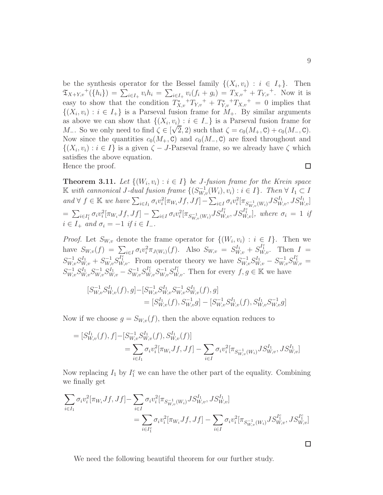be the synthesis operator for the Bessel family  $\{(X_i, v_i) : i \in I_+\}.$  Then  $\mathfrak{T}_{X+Y,v}^{\mathcal{F}}(\{h_i\}) = \sum_{i\in I_+} v_i h_i = \sum_{i\in I_+} v_i (f_i + g_i) = T_{X,v}^{\mathcal{F}} + T_{Y,v}^{\mathcal{F}}$ . Now it is easy to show that the condition  $T_{X,v}^*$ <sup>+</sup> $T_{Y,v}^*$ <sup>+</sup> +  $T_{Y,v}^*$ <sup>+</sup> $T_{X,v}^*$ <sup>+</sup> = 0 implies that  $\{(X_i, v_i) : i \in I_+\}$  is a Parseval fusion frame for  $M_+$ . By similar arguments as above we can show that  $\{(X_i, v_i) : i \in I_-\}$  is a Parseval fusion frame for M<sub>-</sub>. So we only need to find  $\zeta \in [\sqrt{2}, 2)$  such that  $\zeta = c_0(M_+, C) + c_0(M_-, C)$ . Now since the quantities  $c_0(M_+, \mathbf{C})$  and  $c_0(M_-, \mathbf{C})$  are fixed throughout and  $\{(X_i, v_i) : i \in I\}$  is a given  $\zeta - J$ -Parseval frame, so we already have  $\zeta$  which satisfies the above equation. Hence the proof.

**Theorem 3.11.** Let  $\{(W_i, v_i) : i \in I\}$  be *J*-fusion frame for the Krein space K with cannonical J-dual fusion frame  $\{(S_{W,v}^{-1}(W_i), v_i) : i \in I\}$ . Then ∀  $I_1 \subset I$ and  $\forall f \in \mathbb{K}$  we have  $\sum_{i \in I_1} \sigma_i v_i^2 [\pi_{W_i} Jf, Jf] - \sum_{i \in I} \sigma_i v_i^2 [\pi_{S_{W,v}^{-1}(W_i)} JS_{W,v}^{I_1}, JS_{W,v}^{I_1}]$  $=\sum_{i\in I_1^c}\sigma_i v_i^2[\pi_{W_i} Jf, Jf] - \sum_{i\in I}\sigma_i v_i^2[\pi_{S_{W,v}^{-1}(W_i)} JS_{W,v}^{I_1^c}, JS_{W,v}^{I_1^c}],$  where  $\sigma_i = 1$  if  $i \in I_+$  and  $\sigma_i = -1$  if  $i \in I_-$ .

*Proof.* Let  $S_{W,v}$  denote the frame operator for  $\{(W_i, v_i) : i \in I\}$ . Then we have  $S_{W,v}(f) = \sum_{i \in I} \sigma_i v_i^2 \pi_{J(W_i)}(f)$ . Also  $S_{W,v} = S_{W,v}^{I_1} + S_{W,v}^{I_1^c}$ . Then  $I =$  $S_{W,v}^{-1}S_{W,v}^{I_1} + S_{W,v}^{-1}S_{W,v}^{I_1^c}$ . From operator theory we have  $S_{W,v}^{-1}S_{W,v}^{I_1} - S_{W,v}^{-1}S_{W,v}^{I_1^c} =$  $S_{W,v}^{-1} S_{W,v}^{I_1} S_{W,v}^{-1} S_{W,v}^{I_1} - S_{W,v}^{-1} S_{W,v}^{I_1^c} S_{W,v}^{-1} S_{W,v}^{I_1^c}$ . Then for every  $f, g \in \mathbb{K}$  we have

$$
\begin{aligned} [S_{W,v}^{-1}S_{W,v}^{I_1}(f),g] - [S_{W,v}^{-1}S_{W,v}^{I_1}S_{W,v}^{-1}S_{W,v}^{I_1}(f),g] \\ &= [S_{W,v}^{I_1}(f),S_{W,v}^{-1}g] - [S_{W,v}^{-1}S_{W,v}^{I_1}(f),S_{W,v}^{I_1}S_{W,v}^{-1}g] \end{aligned}
$$

Now if we choose  $g = S_{W,v}(f)$ , then the above equation reduces to

$$
= [S_{W,v}^{I_1}(f), f] - [S_{W,v}^{-1} S_{W,v}^{I_1}(f), S_{W,v}^{I_1}(f)]
$$
  

$$
= \sum_{i \in I_1} \sigma_i v_i^2 [\pi_{W_i} Jf, Jf] - \sum_{i \in I} \sigma_i v_i^2 [\pi_{S_{W,v}^{-1}(W_i)} J S_{W,v}^{I_1}, J S_{W,v}^{I_1}]
$$

Now replacing  $I_1$  by  $I_1^c$  we can have the other part of the equality. Combining we finally get

$$
\sum_{i \in I_1} \sigma_i v_i^2 [\pi_{W_i} Jf, Jf] - \sum_{i \in I} \sigma_i v_i^2 [\pi_{S_{W,v}^{-1}(W_i)} JS_{W,v}^{I_1}, JS_{W,v}^{I_1}]
$$
\n
$$
= \sum_{i \in I_1^c} \sigma_i v_i^2 [\pi_{W_i} Jf, Jf] - \sum_{i \in I} \sigma_i v_i^2 [\pi_{S_{W,v}^{-1}(W_i)} JS_{W,v}^{I_1^c}, JS_{W,v}^{I_1^c}]
$$

We need the following beautiful theorem for our further study.

 $\Box$ 

 $\Box$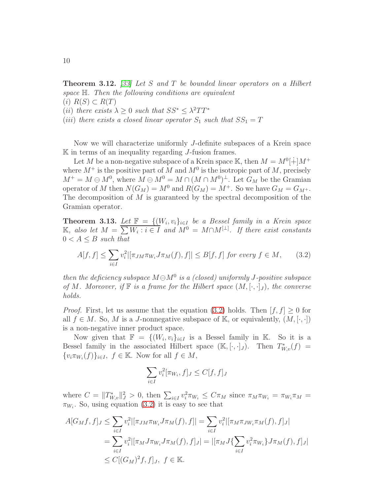**Theorem 3.12.** [\[33\]](#page-13-7) Let S and T be bounded linear operators on a Hilbert space  $\mathbb H$ . Then the following conditions are equivalent  $(i)$   $R(S) \subset R(T)$ (*ii*) there exists  $\lambda \geq 0$  such that  $SS^* \leq \lambda^2 TT^*$ (iii) there exists a closed linear operator  $S_1$  such that  $SS_1 = T$ 

Now we will characterize uniformly J-definite subspaces of a Krein space  $\mathbb K$  in terms of an inequality regarding *J*-fusion frames.

Let M be a non-negative subspace of a Krein space K, then  $M = M^{0}[\dot{+}]M^{+}$ where  $M^+$  is the positive part of M and  $M^0$  is the isotropic part of M, precisely  $M^+ = M \ominus M^0$ , where  $M \ominus M^0 = M \cap (M \cap M^0)^{\perp}$ . Let  $G_M$  be the Gramian operator of M then  $N(G_M) = M^0$  and  $R(G_M) = M^+$ . So we have  $G_M = G_{M^+}$ . The decomposition of  $M$  is guaranteed by the spectral decomposition of the Gramian operator.

**Theorem 3.13.** Let  $\mathbb{F} = \{ (W_i, v_i \}_{i \in I}$  be a Bessel family in a Krein space K, also let  $M = \sum W_i : i \in I$  and  $M^0 = M ∩ M^{\perp}$ . If there exist constants  $0 < A \leq B$  such that

<span id="page-9-0"></span>
$$
A[f, f] \le \sum_{i \in I} v_i^2 |[\pi_{JM} \pi_{W_i} J \pi_M(f), f]| \le B[f, f] \text{ for every } f \in M,
$$
 (3.2)

then the deficiency subspace  $M \ominus M^0$  is a (closed) uniformly J-positive subspace of M. Moreover, if  $\mathbb F$  is a frame for the Hilbert space  $(M, [\cdot, \cdot]_J)$ , the converse holds.

*Proof.* First, let us assume that the equation [\(3.2\)](#page-9-0) holds. Then  $[f, f] \geq 0$  for all  $f \in M$ . So, M is a J-nonnegative subspace of K, or equivalently,  $(M, [\cdot, \cdot])$ is a non-negative inner product space.

Now given that  $\mathbb{F} = \{(W_i, v_i\}_{i \in I} \text{ is a Bessel family in } \mathbb{K}.$  So it is a Bessel family in the associated Hilbert space  $(\mathbb{K}, [\cdot, \cdot]_J)$ . Then  $T^*_{W,v}(f) =$  $\{v_i\pi_{W_i}(f)\}_{i\in I},\ f\in\mathbb{K}$ . Now for all  $f\in M$ ,

$$
\sum_{i \in I} v_i^2 [\pi_{W_i}, f]_J \le C[f, f]_J
$$

where  $C = ||T^*_{W,v}||_J^2 > 0$ , then  $\sum_{i \in I} v_i^2 \pi_{W_i} \leq C \pi_M$  since  $\pi_M \pi_{W_i} = \pi_{W_i} \pi_M =$  $\pi_{W_i}$ . So, using equation [\(3.2\)](#page-9-0) it is easy to see that

$$
A[G_M f, f]_J \leq \sum_{i \in I} v_i^2 |[\pi_{JM} \pi_{W_i} J \pi_M(f), f]| = \sum_{i \in I} v_i^2 |[\pi_M \pi_{JW_i} \pi_M(f), f]_J|
$$
  
= 
$$
\sum_{i \in I} v_i^2 |[\pi_M J \pi_{W_i} J \pi_M(f), f]_J| = |[\pi_M J\{\sum_{i \in I} v_i^2 \pi_{W_i}\} J \pi_M(f), f]_J|
$$
  

$$
\leq C[(G_M)^2 f, f]_J, f \in \mathbb{K}.
$$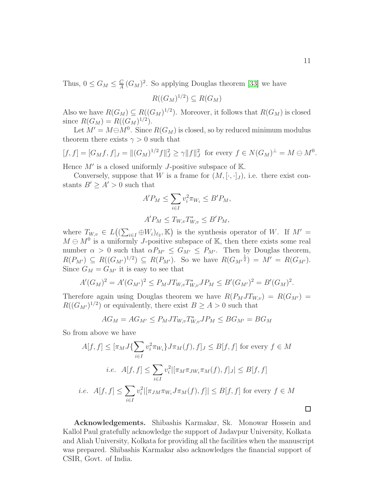$\Box$ 

Thus,  $0 \le G_M \le \frac{C}{A}$  $\frac{C}{A}$   $(G_M)^2$ . So applying Douglas theorem [\[33\]](#page-13-7) we have

$$
R((G_M)^{1/2}) \subseteq R(G_M)
$$

Also we have  $R(G_M) \subseteq R((G_M)^{1/2})$ . Moreover, it follows that  $R(G_M)$  is closed since  $R(G_M) = R((G_M)^{1/2}).$ 

Let  $M' = M \ominus M^0$ . Since  $R(G_M)$  is closed, so by reduced minimum modulus theorem there exists  $\gamma > 0$  such that

$$
[f, f] = [G_M f, f]_J = ||(G_M)^{1/2} f||_J^2 \ge \gamma ||f||_J^2 \text{ for every } f \in N(G_M)^{\perp} = M \ominus M^0.
$$

Hence  $M'$  is a closed uniformly J-positive subspace of  $K$ .

Conversely, suppose that W is a frame for  $(M, [\cdot, \cdot]_J)$ , i.e. there exist constants  $B' \geq A' > 0$  such that

$$
A'P_M \le \sum_{i \in I} v_i^2 \pi_{W_i} \le B'P_M,
$$
  

$$
A'P_M \le T_{W,v}T_{W,v}^* \le B'P_M,
$$

where  $T_{W,v} \in L\left((\sum_{i\in I} \oplus W_i)_{\ell_2}, \mathbb{K}\right)$  is the synthesis operator of W. If  $M' =$  $M \ominus M^0$  is a uniformly *J*-positive subspace of K, then there exists some real number  $\alpha > 0$  such that  $\alpha P_{M'} \leq G_{M'} \leq P_{M'}$ . Then by Douglas theorem,  $R(P_{M'}) \subseteq R((G_{M'})^{1/2}) \subseteq R(P_{M'})$ . So we have  $R(G_{M'}^{\frac{1}{2}}) = M' = R(G_{M'})$ . Since  $G_M = G_{M'}$  it is easy to see that

$$
A'(G_M)^2 = A'(G_{M'})^2 \le P_M J T_{W,v} T_{W,v}^* J P_M \le B'(G_{M'})^2 = B'(G_M)^2.
$$

Therefore again using Douglas theorem we have  $R(P_MJT_{W,v}) = R(G_{M'})$  $R((G_{M'})^{1/2})$  or equivalently, there exist  $B \ge A > 0$  such that

$$
AG_M = AG_{M'} \leq P_M J T_{W,v} T_{W,v}^* J P_M \leq BG_{M'} = BG_M
$$

So from above we have

$$
A[f, f] \leq [\pi_M J\{\sum_{i \in I} v_i^2 \pi_{W_i}\} J \pi_M(f), f]_J \leq B[f, f]
$$
 for every  $f \in M$   
*i.e.*  $A[f, f] \leq \sum_{i \in I} v_i^2 |[\pi_M \pi_{JW_i} \pi_M(f), f]_J| \leq B[f, f]$   
*i.e.*  $A[f, f] \leq \sum_{i \in I} v_i^2 |[\pi_{JM} \pi_{W_i} J \pi_M(f), f]| \leq B[f, f]$  for every  $f \in M$ 

Acknowledgements. Shibashis Karmakar, Sk. Monowar Hossein and Kallol Paul gratefully acknowledge the support of Jadavpur University, Kolkata and Aliah University, Kolkata for providing all the facilities when the manuscript was prepared. Shibashis Karmakar also acknowledges the financial support of CSIR, Govt. of India.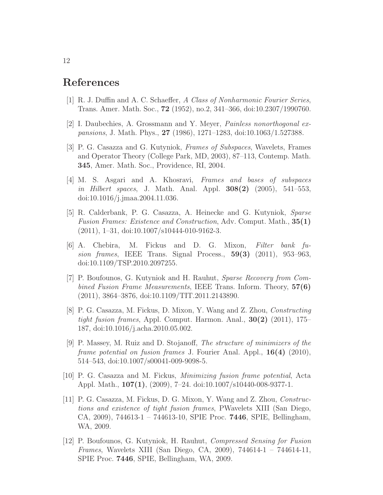### <span id="page-11-0"></span>References

- [1] R. J. Duffin and A. C. Schaeffer, A Class of Nonharmonic Fourier Series, Trans. Amer. Math. Soc., 72 (1952), no.2, 341–366, doi:10.2307/1990760.
- <span id="page-11-1"></span>[2] I. Daubechies, A. Grossmann and Y. Meyer, Painless nonorthogonal expansions, J. Math. Phys., 27 (1986), 1271–1283, doi:10.1063/1.527388.
- [3] P. G. Casazza and G. Kutyniok, Frames of Subspaces, Wavelets, Frames and Operator Theory (College Park, MD, 2003), 87–113, Contemp. Math. 345, Amer. Math. Soc., Providence, RI, 2004.
- <span id="page-11-10"></span>[4] M. S. Asgari and A. Khosravi, Frames and bases of subspaces *in Hilbert spaces*, J. Math. Anal. Appl.  $308(2)$  (2005), 541–553, doi:10.1016/j.jmaa.2004.11.036.
- <span id="page-11-2"></span>[5] R. Calderbank, P. G. Casazza, A. Heinecke and G. Kutyniok, Sparse Fusion Frames: Existence and Construction, Adv. Comput. Math., 35(1)  $(2011), 1–31, \text{ doi: } 10.1007 \text{/} s10444-010-9162-3.$
- <span id="page-11-3"></span>[6] A. Chebira, M. Fickus and D. G. Mixon, Filter bank fusion frames, IEEE Trans. Signal Process.,  $59(3)$  (2011), 953–963, doi:10.1109/TSP.2010.2097255.
- <span id="page-11-4"></span>[7] P. Boufounos, G. Kutyniok and H. Rauhut, Sparse Recovery from Combined Fusion Frame Measurements, IEEE Trans. Inform. Theory, 57(6) (2011), 3864–3876, doi:10.1109/TIT.2011.2143890.
- <span id="page-11-5"></span>[8] P. G. Casazza, M. Fickus, D. Mixon, Y. Wang and Z. Zhou, Constructing tight fusion frames, Appl. Comput. Harmon. Anal.,  $30(2)$  (2011), 175– 187, doi:10.1016/j.acha.2010.05.002.
- <span id="page-11-6"></span>[9] P. Massey, M. Ruiz and D. Stojanoff, The structure of minimizers of the frame potential on fusion frames J. Fourier Anal. Appl., 16(4) (2010), 514–543, doi:10.1007/s00041-009-9098-5.
- <span id="page-11-7"></span>[10] P. G. Casazza and M. Fickus, *Minimizing fusion frame potential*, Acta Appl. Math., 107(1), (2009), 7–24. doi:10.1007/s10440-008-9377-1.
- <span id="page-11-8"></span>[11] P. G. Casazza, M. Fickus, D. G. Mixon, Y. Wang and Z. Zhou, Constructions and existence of tight fusion frames, PWavelets XIII (San Diego, CA, 2009), 744613-1 – 744613-10, SPIE Proc. 7446, SPIE, Bellingham, WA, 2009.
- <span id="page-11-9"></span>[12] P. Boufounos, G. Kutyniok, H. Rauhut, Compressed Sensing for Fusion Frames, Wavelets XIII (San Diego, CA, 2009), 744614-1 – 744614-11, SPIE Proc. 7446, SPIE, Bellingham, WA, 2009.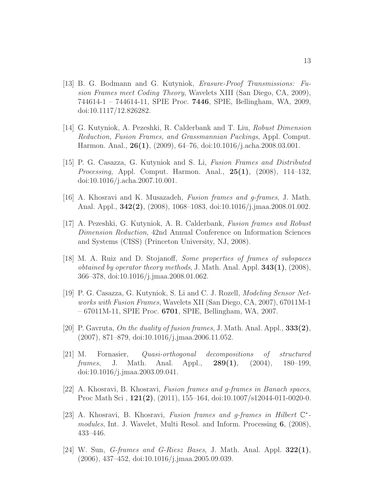- <span id="page-12-1"></span>[13] B. G. Bodmann and G. Kutyniok, Erasure-Proof Transmissions: Fusion Frames meet Coding Theory, Wavelets XIII (San Diego, CA, 2009), 744614-1 – 744614-11, SPIE Proc. 7446, SPIE, Bellingham, WA, 2009, doi:10.1117/12.826282.
- <span id="page-12-2"></span>[14] G. Kutyniok, A. Pezeshki, R. Calderbank and T. Liu, Robust Dimension Reduction, Fusion Frames, and Grassmannian Packings, Appl. Comput. Harmon. Anal.,  $26(1)$ ,  $(2009)$ ,  $64-76$ , doi:10.1016/j.acha.2008.03.001.
- <span id="page-12-3"></span>[15] P. G. Casazza, G. Kutyniok and S. Li, Fusion Frames and Distributed *Processing*, Appl. Comput. Harmon. Anal.,  $25(1)$ ,  $(2008)$ ,  $114-132$ , doi:10.1016/j.acha.2007.10.001.
- <span id="page-12-5"></span><span id="page-12-4"></span>[16] A. Khosravi and K. Musazadeh, Fusion frames and g-frames, J. Math. Anal. Appl., 342(2), (2008), 1068–1083, doi:10.1016/j.jmaa.2008.01.002.
- [17] A. Pezeshki, G. Kutyniok, A. R. Calderbank, Fusion frames and Robust Dimension Reduction, 42nd Annual Conference on Information Sciences and Systems (CISS) (Princeton University, NJ, 2008).
- <span id="page-12-6"></span>[18] M. A. Ruiz and D. Stojanoff, Some properties of frames of subspaces *obtained by operator theory methods, J. Math. Anal. Appl.*  $343(1)$ ,  $(2008)$ , 366–378, doi:10.1016/j.jmaa.2008.01.062.
- <span id="page-12-0"></span>[19] P. G. Casazza, G. Kutyniok, S. Li and C. J. Rozell, Modeling Sensor Networks with Fusion Frames, Wavelets XII (San Diego, CA, 2007), 67011M-1  $-67011M-11$ , SPIE Proc. 6701, SPIE, Bellingham, WA, 2007.
- <span id="page-12-7"></span>[20] P. Gavruta, On the duality of fusion frames, J. Math. Anal. Appl.,  $333(2)$ , (2007), 871–879, doi:10.1016/j.jmaa.2006.11.052.
- [21] M. Fornasier, Quasi-orthogonal decompositions of structured frames, J. Math. Anal. Appl., 289(1), (2004), 180–199, doi:10.1016/j.jmaa.2003.09.041.
- <span id="page-12-8"></span>[22] A. Khosravi, B. Khosravi, Fusion frames and g-frames in Banach spaces, Proc Math Sci , 121(2), (2011), 155–164, doi:10.1007/s12044-011-0020-0.
- <span id="page-12-9"></span>[23] A. Khosravi, B. Khosravi, Fusion frames and g-frames in Hilbert  $\mathbb{C}^*$ modules, Int. J. Wavelet, Multi Resol. and Inform. Processing 6, (2008), 433–446.
- <span id="page-12-10"></span>[24] W. Sun, *G-frames and G-Riesz Bases*, J. Math. Anal. Appl.  $322(1)$ , (2006), 437–452, doi:10.1016/j.jmaa.2005.09.039.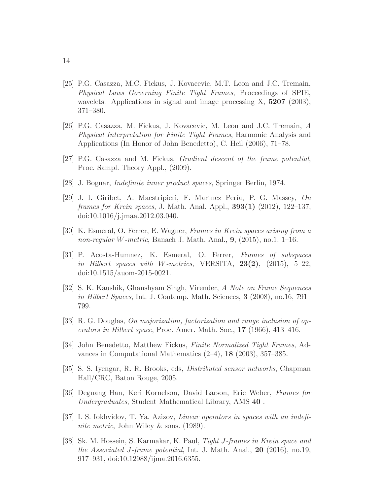- [25] P.G. Casazza, M.C. Fickus, J. Kovacevic, M.T. Leon and J.C. Tremain, Physical Laws Governing Finite Tight Frames, Proceedings of SPIE, wavelets: Applications in signal and image processing  $X$ ,  $5207$  (2003), 371–380.
- [26] P.G. Casazza, M. Fickus, J. Kovacevic, M. Leon and J.C. Tremain, A Physical Interpretation for Finite Tight Frames, Harmonic Analysis and Applications (In Honor of John Benedetto), C. Heil (2006), 71–78.
- <span id="page-13-1"></span>[27] P.G. Casazza and M. Fickus, Gradient descent of the frame potential, Proc. Sampl. Theory Appl., (2009).
- <span id="page-13-2"></span>[28] J. Bognar, Indefinite inner product spaces, Springer Berlin, 1974.
- [29] J. I. Giribet, A. Maestripieri, F. Martnez Pería, P. G. Massey,  $On$ *frames for Krein spaces*, J. Math. Anal. Appl.,  $393(1)$   $(2012)$ ,  $122-137$ , doi:10.1016/j.jmaa.2012.03.040.
- <span id="page-13-3"></span>[30] K. Esmeral, O. Ferrer, E. Wagner, Frames in Krein spaces arising from a non-regular W-metric, Banach J. Math. Anal.,  $9, (2015)$ , no.1, 1–16.
- <span id="page-13-6"></span>[31] P. Acosta-Humnez, K. Esmeral, O. Ferrer, Frames of subspaces in Hilbert spaces with W-metrics, VERSITA,  $23(2)$ ,  $(2015)$ , 5-22, doi:10.1515/auom-2015-0021.
- [32] S. K. Kaushik, Ghanshyam Singh, Virender, A Note on Frame Sequences in Hilbert Spaces, Int. J. Contemp. Math. Sciences, 3 (2008), no.16, 791– 799.
- <span id="page-13-7"></span>[33] R. G. Douglas, On majorization, factorization and range inclusion of operators in Hilbert space, Proc. Amer. Math. Soc., 17 (1966), 413–416.
- [34] John Benedetto, Matthew Fickus, Finite Normalized Tight Frames, Advances in Computational Mathematics  $(2-4)$ , 18  $(2003)$ , 357–385.
- <span id="page-13-0"></span>[35] S. S. Iyengar, R. R. Brooks, eds, Distributed sensor networks, Chapman Hall/CRC, Baton Rouge, 2005.
- [36] Deguang Han, Keri Kornelson, David Larson, Eric Weber, Frames for Undergraduates, Student Mathematical Library, AMS 40 .
- <span id="page-13-4"></span>[37] I. S. Iokhvidov, T. Ya. Azizov, Linear operators in spaces with an indefinite metric, John Wiley & sons. (1989).
- <span id="page-13-5"></span>[38] Sk. M. Hossein, S. Karmakar, K. Paul, Tight J-frames in Krein space and the Associated J-frame potential, Int. J. Math. Anal., 20 (2016), no.19, 917–931, doi:10.12988/ijma.2016.6355.